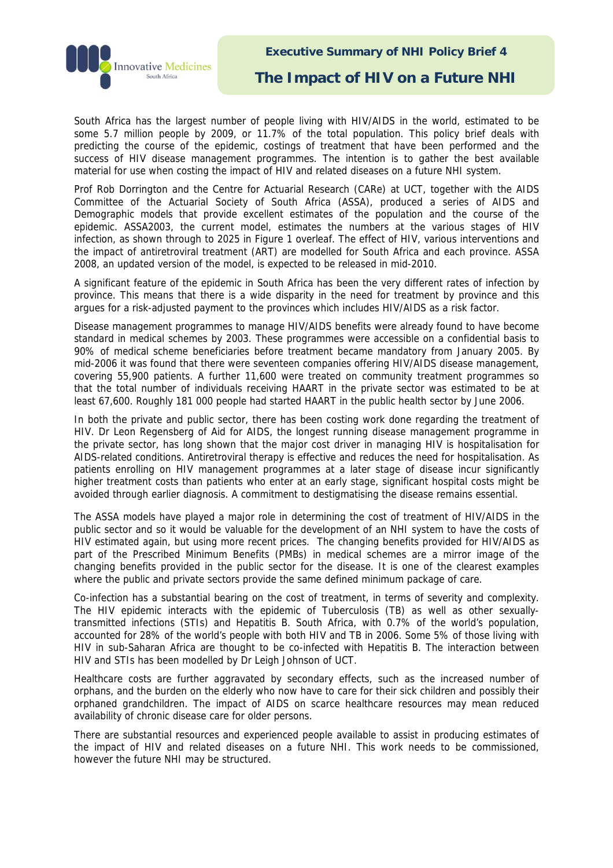

**Executive Summary of NHI Policy Brief 4** 

**The Impact of HIV on a Future NHI** 

South Africa has the largest number of people living with HIV/AIDS in the world, estimated to be some 5.7 million people by 2009, or 11.7% of the total population. This policy brief deals with predicting the course of the epidemic, costings of treatment that have been performed and the success of HIV disease management programmes. The intention is to gather the best available material for use when costing the impact of HIV and related diseases on a future NHI system.

Prof Rob Dorrington and the Centre for Actuarial Research (CARe) at UCT, together with the AIDS Committee of the Actuarial Society of South Africa (ASSA), produced a series of AIDS and Demographic models that provide excellent estimates of the population and the course of the epidemic. ASSA2003, the current model, estimates the numbers at the various stages of HIV infection, as shown through to 2025 in Figure 1 overleaf. The effect of HIV, various interventions and the impact of antiretroviral treatment (ART) are modelled for South Africa and each province. ASSA 2008, an updated version of the model, is expected to be released in mid-2010.

A significant feature of the epidemic in South Africa has been the very different rates of infection by province. This means that there is a wide disparity in the need for treatment by province and this argues for a risk-adjusted payment to the provinces which includes HIV/AIDS as a risk factor.

Disease management programmes to manage HIV/AIDS benefits were already found to have become standard in medical schemes by 2003. These programmes were accessible on a confidential basis to 90% of medical scheme beneficiaries before treatment became mandatory from January 2005. By mid-2006 it was found that there were seventeen companies offering HIV/AIDS disease management, covering 55,900 patients. A further 11,600 were treated on community treatment programmes so that the total number of individuals receiving HAART in the private sector was estimated to be at least 67,600. Roughly 181 000 people had started HAART in the public health sector by June 2006.

In both the private and public sector, there has been costing work done regarding the treatment of HIV. Dr Leon Regensberg of Aid for AIDS, the longest running disease management programme in the private sector, has long shown that the major cost driver in managing HIV is hospitalisation for AIDS-related conditions. Antiretroviral therapy is effective and reduces the need for hospitalisation. As patients enrolling on HIV management programmes at a later stage of disease incur significantly higher treatment costs than patients who enter at an early stage, significant hospital costs might be avoided through earlier diagnosis. A commitment to destigmatising the disease remains essential.

The ASSA models have played a major role in determining the cost of treatment of HIV/AIDS in the public sector and so it would be valuable for the development of an NHI system to have the costs of HIV estimated again, but using more recent prices. The changing benefits provided for HIV/AIDS as part of the Prescribed Minimum Benefits (PMBs) in medical schemes are a mirror image of the changing benefits provided in the public sector for the disease. It is one of the clearest examples where the public and private sectors provide the same defined minimum package of care.

Co-infection has a substantial bearing on the cost of treatment, in terms of severity and complexity. The HIV epidemic interacts with the epidemic of Tuberculosis (TB) as well as other sexuallytransmitted infections (STIs) and Hepatitis B. South Africa, with 0.7% of the world's population, accounted for 28% of the world's people with both HIV and TB in 2006. Some 5% of those living with HIV in sub-Saharan Africa are thought to be co-infected with Hepatitis B. The interaction between HIV and STIs has been modelled by Dr Leigh Johnson of UCT.

Healthcare costs are further aggravated by secondary effects, such as the increased number of orphans, and the burden on the elderly who now have to care for their sick children and possibly their orphaned grandchildren. The impact of AIDS on scarce healthcare resources may mean reduced availability of chronic disease care for older persons.

There are substantial resources and experienced people available to assist in producing estimates of the impact of HIV and related diseases on a future NHI. This work needs to be commissioned, however the future NHI may be structured.